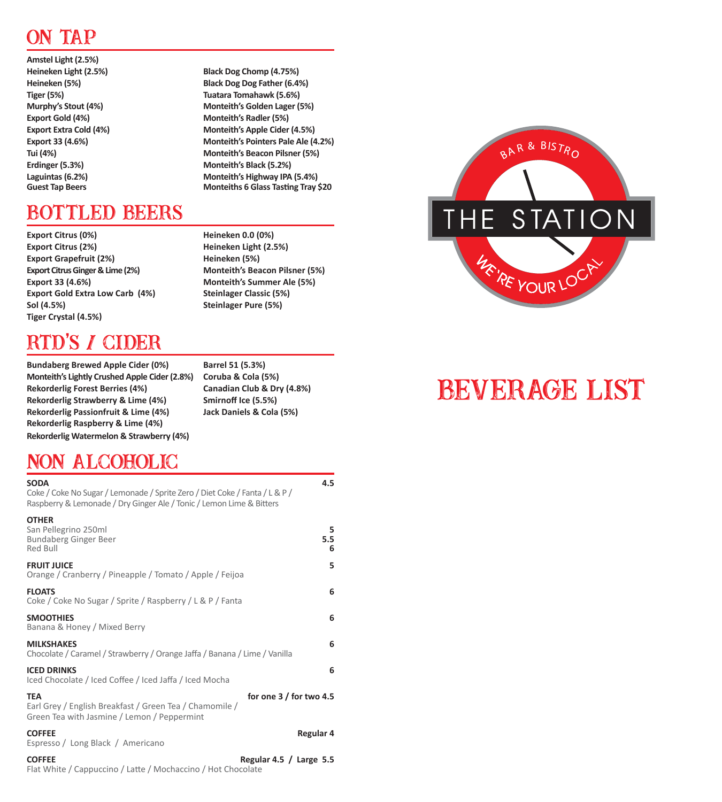# ON TAP

**Amstel Light (2.5%) Heineken Light (2.5%) Black Dog Chomp (4.75%) Heineken (5%) Black Dog Dog Father (6.4%) Tiger (5%) Tuatara Tomahawk (5.6%) Murphy's Stout (4%) Monteith's Golden Lager (5%) Export Gold (4%) Monteith's Radler (5%) Export Extra Cold (4%) Monteith's Apple Cider (4.5%) Export 33 (4.6%) Monteith's Pointers Pale Ale (4.2%) Tui (4%) Monteith's Beacon Pilsner (5%) Erdinger (5.3%) Monteith's Black (5.2%) Laguintas (6.2%) Monteith's Highway IPA (5.4%)**

## BOTTLED BEERS

**Export Citrus (0%) Heineken 0.0 (0%) Export Citrus (2%) Heineken Light (2.5%) Export Grapefruit (2%) Heineken (5%) Export Citrus Ginger & Lime (2%) Monteith's Beacon Pilsner (5%) Export 33 (4.6%) Monteith's Summer Ale (5%) Export Gold Extra Low Carb (4%) Steinlager Classic (5%) Sol (4.5%) Steinlager Pure (5%) Tiger Crystal (4.5%)**

## RTD'S / CIDER

**Bundaberg Brewed Apple Cider (0%) Barrel 51 (5.3%) Monteith's Lightly Crushed Apple Cider (2.8%) Coruba & Cola (5%) Rekorderlig Forest Berries (4%) Canadian Club & Dry (4.8%) Rekorderlig Strawberry & Lime (4%) Smirnoff Ice (5.5%) Rekorderlig Passionfruit & Lime (4%) Jack Daniels & Cola (5%) Rekorderlig Raspberry & Lime (4%) Rekorderlig Watermelon & Strawberry (4%)**

**Monteiths 6 Glass Tasting Tray \$20** 

## NON ALCOHOLIC

| <b>SODA</b><br>Coke / Coke No Sugar / Lemonade / Sprite Zero / Diet Coke / Fanta / L & P /<br>Raspberry & Lemonade / Dry Ginger Ale / Tonic / Lemon Lime & Bitters | 4.5            |
|--------------------------------------------------------------------------------------------------------------------------------------------------------------------|----------------|
| <b>OTHER</b><br>San Pellegrino 250ml<br>Bundaberg Ginger Beer<br>Red Bull                                                                                          | 5.<br>5.5<br>6 |
| <b>FRUIT JUICE</b><br>Orange / Cranberry / Pineapple / Tomato / Apple / Feijoa                                                                                     | 5              |
| <b>FLOATS</b><br>Coke / Coke No Sugar / Sprite / Raspberry / L & P / Fanta                                                                                         | 6              |
| <b>SMOOTHIES</b><br>Banana & Honey / Mixed Berry                                                                                                                   | 6              |
| <b>MILKSHAKES</b><br>Chocolate / Caramel / Strawberry / Orange Jaffa / Banana / Lime / Vanilla                                                                     | 6              |
| <b>ICED DRINKS</b><br>Iced Chocolate / Iced Coffee / Iced Jaffa / Iced Mocha                                                                                       | 6              |
| <b>TEA</b><br>for one 3 / for two 4.5<br>Earl Grey / English Breakfast / Green Tea / Chamomile /<br>Green Tea with Jasmine / Lemon / Peppermint                    |                |
| <b>COFFEE</b><br>Espresso / Long Black / Americano                                                                                                                 | Regular 4      |
| <b>COFFEE</b><br>Regular 4.5 / Large $5.5$<br>Flat White / Cappuccino / Latte / Mochaccino / Hot Chocolate                                                         |                |

BAR & BISTRO THE STATION WE'RE YOUR LOC

# BEVERAGE LIST